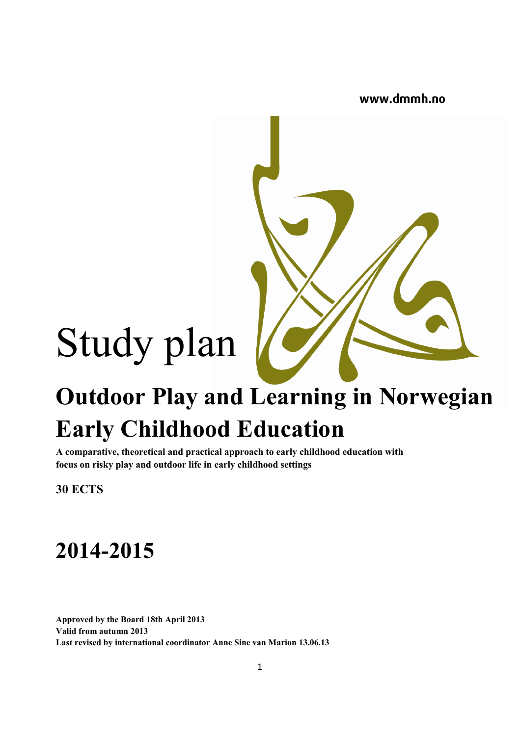**www.dmmh.no**

# Study plan

## **Outdoor Play and Learning in Norwegian Early Childhood Education**

**A comparative, theoretical and practical approach to early childhood education with focus on risky play and outdoor life in early childhood settings**

**30 ECTS**

### **2014-2015**

**Approved by the Board 18th April 2013 Valid from autumn 2013 Last revised by international coordinator Anne Sine van Marion 13.06.13**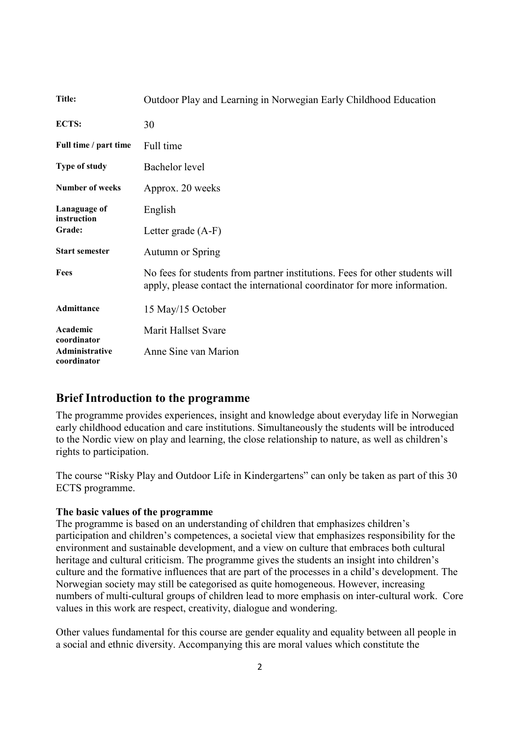| Title:                                | Outdoor Play and Learning in Norwegian Early Childhood Education                                                                                          |  |  |  |  |
|---------------------------------------|-----------------------------------------------------------------------------------------------------------------------------------------------------------|--|--|--|--|
| ECTS:                                 | 30                                                                                                                                                        |  |  |  |  |
| Full time / part time                 | Full time                                                                                                                                                 |  |  |  |  |
| <b>Type of study</b>                  | Bachelor level                                                                                                                                            |  |  |  |  |
| Number of weeks                       | Approx. 20 weeks                                                                                                                                          |  |  |  |  |
| Lanaguage of<br>instruction<br>Grade: | English                                                                                                                                                   |  |  |  |  |
|                                       | Letter grade (A-F)                                                                                                                                        |  |  |  |  |
| <b>Start semester</b>                 | <b>Autumn or Spring</b>                                                                                                                                   |  |  |  |  |
| <b>Fees</b>                           | No fees for students from partner institutions. Fees for other students will<br>apply, please contact the international coordinator for more information. |  |  |  |  |
| Admittance                            | 15 May/15 October                                                                                                                                         |  |  |  |  |
| Academic<br>coordinator               | Marit Hallset Svare                                                                                                                                       |  |  |  |  |
| Administrative<br>coordinator         | Anne Sine van Marion                                                                                                                                      |  |  |  |  |

#### **Brief Introduction to the programme**

The programme provides experiences, insight and knowledge about everyday life in Norwegian early childhood education and care institutions. Simultaneously the students will be introduced to the Nordic view on play and learning, the close relationship to nature, as well as children's rights to participation.

The course "Risky Play and Outdoor Life in Kindergartens" can only be taken as part of this 30 ECTS programme.

#### **The basic values of the programme**

The programme is based on an understanding of children that emphasizes children's participation and children's competences, a societal view that emphasizes responsibility for the environment and sustainable development, and a view on culture that embraces both cultural heritage and cultural criticism. The programme gives the students an insight into children's culture and the formative influences that are part of the processes in a child's development. The Norwegian society may still be categorised as quite homogeneous. However, increasing numbers of multi-cultural groups of children lead to more emphasis on inter-cultural work. Core values in this work are respect, creativity, dialogue and wondering.

Other values fundamental for this course are gender equality and equality between all people in a social and ethnic diversity. Accompanying this are moral values which constitute the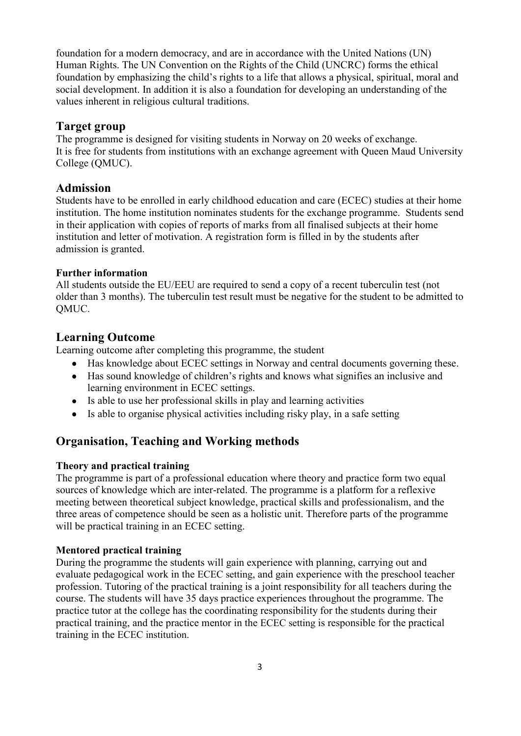foundation for a modern democracy, and are in accordance with the United Nations (UN) Human Rights. The UN Convention on the Rights of the Child (UNCRC) forms the ethical foundation by emphasizing the child's rights to a life that allows a physical, spiritual, moral and social development. In addition it is also a foundation for developing an understanding of the values inherent in religious cultural traditions.

#### **Target group**

The programme is designed for visiting students in Norway on 20 weeks of exchange. It is free for students from institutions with an exchange agreement with Queen Maud University College (QMUC).

#### **Admission**

Students have to be enrolled in early childhood education and care (ECEC) studies at their home institution. The home institution nominates students for the exchange programme. Students send in their application with copies of reports of marks from all finalised subjects at their home institution and letter of motivation. A registration form is filled in by the students after admission is granted.

#### **Further information**

All students outside the EU/EEU are required to send a copy of a recent tuberculin test (not older than 3 months). The tuberculin test result must be negative for the student to be admitted to QMUC.

#### **Learning Outcome**

Learning outcome after completing this programme, the student

- Has knowledge about ECEC settings in Norway and central documents governing these.
- Has sound knowledge of children's rights and knows what signifies an inclusive and learning environment in ECEC settings.
- Is able to use her professional skills in play and learning activities
- Is able to organise physical activities including risky play, in a safe setting

#### **Organisation, Teaching and Working methods**

#### **Theory and practical training**

The programme is part of a professional education where theory and practice form two equal sources of knowledge which are inter-related. The programme is a platform for a reflexive meeting between theoretical subject knowledge, practical skills and professionalism, and the three areas of competence should be seen as a holistic unit. Therefore parts of the programme will be practical training in an ECEC setting.

#### **Mentored practical training**

During the programme the students will gain experience with planning, carrying out and evaluate pedagogical work in the ECEC setting, and gain experience with the preschool teacher profession. Tutoring of the practical training is a joint responsibility for all teachers during the course. The students will have 35 days practice experiences throughout the programme. The practice tutor at the college has the coordinating responsibility for the students during their practical training, and the practice mentor in the ECEC setting is responsible for the practical training in the ECEC institution.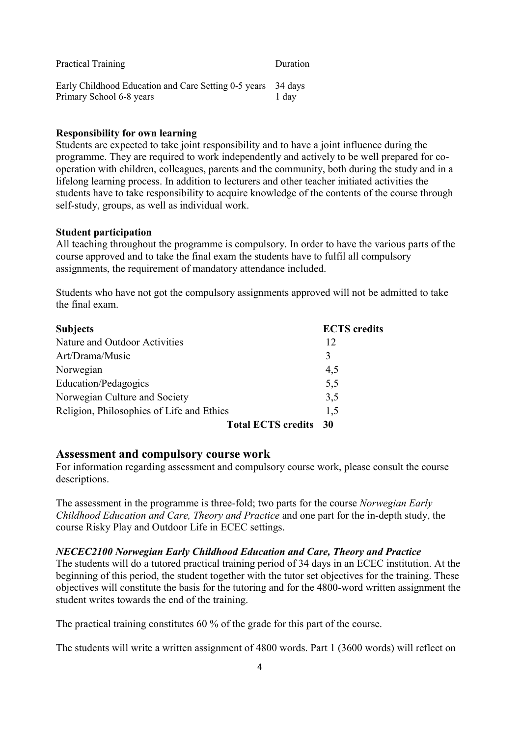| <b>Practical Training</b>                                                                | Duration |
|------------------------------------------------------------------------------------------|----------|
| Early Childhood Education and Care Setting 0-5 years 34 days<br>Primary School 6-8 years | 1 day    |

#### **Responsibility for own learning**

Students are expected to take joint responsibility and to have a joint influence during the programme. They are required to work independently and actively to be well prepared for cooperation with children, colleagues, parents and the community, both during the study and in a lifelong learning process. In addition to lecturers and other teacher initiated activities the students have to take responsibility to acquire knowledge of the contents of the course through self-study, groups, as well as individual work.

#### **Student participation**

All teaching throughout the programme is compulsory. In order to have the various parts of the course approved and to take the final exam the students have to fulfil all compulsory assignments, the requirement of mandatory attendance included.

Students who have not got the compulsory assignments approved will not be admitted to take the final exam.

| <b>Subjects</b>                           |                           | <b>ECTS</b> credits |
|-------------------------------------------|---------------------------|---------------------|
| Nature and Outdoor Activities             |                           | 12                  |
| Art/Drama/Music                           |                           | 3                   |
| Norwegian                                 |                           | 4,5                 |
| Education/Pedagogics                      |                           | 5,5                 |
| Norwegian Culture and Society             |                           | 3,5                 |
| Religion, Philosophies of Life and Ethics |                           | 1.5                 |
|                                           | <b>Total ECTS credits</b> | - 30                |

#### **Assessment and compulsory course work**

For information regarding assessment and compulsory course work, please consult the course descriptions.

The assessment in the programme is three-fold; two parts for the course *Norwegian Early Childhood Education and Care, Theory and Practice* and one part for the in-depth study, the course Risky Play and Outdoor Life in ECEC settings.

#### *NECEC2100 Norwegian Early Childhood Education and Care, Theory and Practice*

The students will do a tutored practical training period of 34 days in an ECEC institution. At the beginning of this period, the student together with the tutor set objectives for the training. These objectives will constitute the basis for the tutoring and for the 4800-word written assignment the student writes towards the end of the training.

The practical training constitutes 60 % of the grade for this part of the course.

The students will write a written assignment of 4800 words. Part 1 (3600 words) will reflect on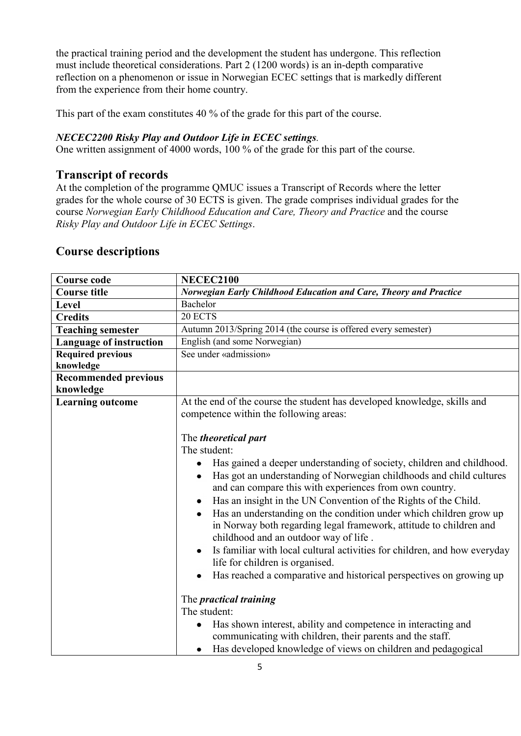the practical training period and the development the student has undergone. This reflection must include theoretical considerations. Part 2 (1200 words) is an in-depth comparative reflection on a phenomenon or issue in Norwegian ECEC settings that is markedly different from the experience from their home country.

This part of the exam constitutes 40 % of the grade for this part of the course.

#### *NECEC2200 Risky Play and Outdoor Life in ECEC settings.*

One written assignment of 4000 words, 100 % of the grade for this part of the course.

#### **Transcript of records**

At the completion of the programme QMUC issues a Transcript of Records where the letter grades for the whole course of 30 ECTS is given. The grade comprises individual grades for the course *Norwegian Early Childhood Education and Care, Theory and Practice* and the course *Risky Play and Outdoor Life in ECEC Settings*.

#### **Course descriptions**

| <b>Course code</b>          | <b>NECEC2100</b>                                                                                                                                                                                                                                                                                                                                                                                                                                                                                                                                                                                                                                                                                                                |  |  |  |  |
|-----------------------------|---------------------------------------------------------------------------------------------------------------------------------------------------------------------------------------------------------------------------------------------------------------------------------------------------------------------------------------------------------------------------------------------------------------------------------------------------------------------------------------------------------------------------------------------------------------------------------------------------------------------------------------------------------------------------------------------------------------------------------|--|--|--|--|
| <b>Course title</b>         | Norwegian Early Childhood Education and Care, Theory and Practice                                                                                                                                                                                                                                                                                                                                                                                                                                                                                                                                                                                                                                                               |  |  |  |  |
| Level                       | Bachelor                                                                                                                                                                                                                                                                                                                                                                                                                                                                                                                                                                                                                                                                                                                        |  |  |  |  |
| <b>Credits</b>              | 20 ECTS                                                                                                                                                                                                                                                                                                                                                                                                                                                                                                                                                                                                                                                                                                                         |  |  |  |  |
| <b>Teaching semester</b>    | Autumn 2013/Spring 2014 (the course is offered every semester)                                                                                                                                                                                                                                                                                                                                                                                                                                                                                                                                                                                                                                                                  |  |  |  |  |
| Language of instruction     | English (and some Norwegian)                                                                                                                                                                                                                                                                                                                                                                                                                                                                                                                                                                                                                                                                                                    |  |  |  |  |
| <b>Required previous</b>    | See under «admission»                                                                                                                                                                                                                                                                                                                                                                                                                                                                                                                                                                                                                                                                                                           |  |  |  |  |
| knowledge                   |                                                                                                                                                                                                                                                                                                                                                                                                                                                                                                                                                                                                                                                                                                                                 |  |  |  |  |
| <b>Recommended previous</b> |                                                                                                                                                                                                                                                                                                                                                                                                                                                                                                                                                                                                                                                                                                                                 |  |  |  |  |
| knowledge                   |                                                                                                                                                                                                                                                                                                                                                                                                                                                                                                                                                                                                                                                                                                                                 |  |  |  |  |
| <b>Learning outcome</b>     | At the end of the course the student has developed knowledge, skills and<br>competence within the following areas:                                                                                                                                                                                                                                                                                                                                                                                                                                                                                                                                                                                                              |  |  |  |  |
|                             | The <i>theoretical</i> part<br>The student:<br>Has gained a deeper understanding of society, children and childhood.<br>Has got an understanding of Norwegian childhoods and child cultures<br>$\bullet$<br>and can compare this with experiences from own country.<br>Has an insight in the UN Convention of the Rights of the Child.<br>$\bullet$<br>Has an understanding on the condition under which children grow up<br>in Norway both regarding legal framework, attitude to children and<br>childhood and an outdoor way of life.<br>Is familiar with local cultural activities for children, and how everyday<br>life for children is organised.<br>Has reached a comparative and historical perspectives on growing up |  |  |  |  |
|                             | The <i>practical training</i><br>The student:<br>Has shown interest, ability and competence in interacting and<br>$\bullet$                                                                                                                                                                                                                                                                                                                                                                                                                                                                                                                                                                                                     |  |  |  |  |
|                             | communicating with children, their parents and the staff.<br>Has developed knowledge of views on children and pedagogical<br>$\bullet$                                                                                                                                                                                                                                                                                                                                                                                                                                                                                                                                                                                          |  |  |  |  |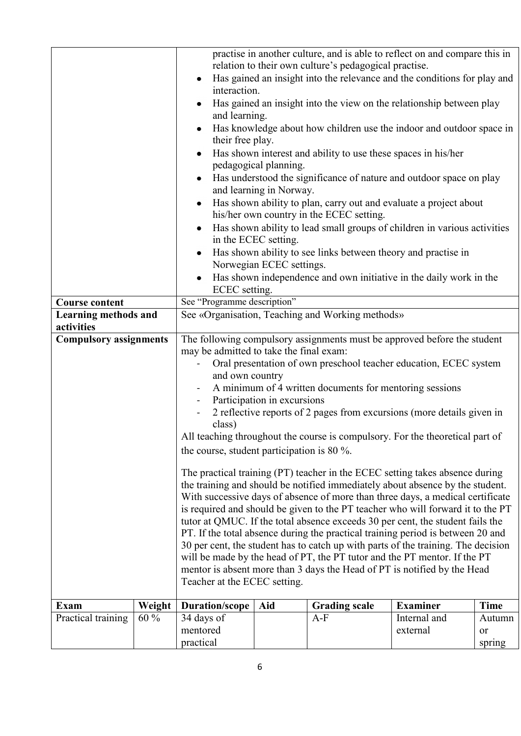|                               |        | practise in another culture, and is able to reflect on and compare this in                                                                            |     |                                                                      |                 |             |  |
|-------------------------------|--------|-------------------------------------------------------------------------------------------------------------------------------------------------------|-----|----------------------------------------------------------------------|-----------------|-------------|--|
|                               |        | relation to their own culture's pedagogical practise.<br>Has gained an insight into the relevance and the conditions for play and                     |     |                                                                      |                 |             |  |
|                               |        | interaction.                                                                                                                                          |     |                                                                      |                 |             |  |
|                               |        |                                                                                                                                                       |     | Has gained an insight into the view on the relationship between play |                 |             |  |
|                               |        | and learning.<br>Has knowledge about how children use the indoor and outdoor space in                                                                 |     |                                                                      |                 |             |  |
|                               |        | their free play.<br>Has shown interest and ability to use these spaces in his/her                                                                     |     |                                                                      |                 |             |  |
|                               |        | pedagogical planning.<br>Has understood the significance of nature and outdoor space on play                                                          |     |                                                                      |                 |             |  |
|                               |        | and learning in Norway.<br>Has shown ability to plan, carry out and evaluate a project about                                                          |     |                                                                      |                 |             |  |
|                               |        |                                                                                                                                                       |     | his/her own country in the ECEC setting.                             |                 |             |  |
|                               |        | Has shown ability to lead small groups of children in various activities<br>in the ECEC setting.                                                      |     |                                                                      |                 |             |  |
|                               |        | Has shown ability to see links between theory and practise in<br>Norwegian ECEC settings.                                                             |     |                                                                      |                 |             |  |
|                               |        | Has shown independence and own initiative in the daily work in the                                                                                    |     |                                                                      |                 |             |  |
| <b>Course content</b>         |        | ECEC setting.<br>See "Programme description"                                                                                                          |     |                                                                      |                 |             |  |
| Learning methods and          |        | See «Organisation, Teaching and Working methods»                                                                                                      |     |                                                                      |                 |             |  |
| activities                    |        |                                                                                                                                                       |     |                                                                      |                 |             |  |
| <b>Compulsory assignments</b> |        | The following compulsory assignments must be approved before the student                                                                              |     |                                                                      |                 |             |  |
|                               |        | may be admitted to take the final exam:                                                                                                               |     |                                                                      |                 |             |  |
|                               |        | Oral presentation of own preschool teacher education, ECEC system                                                                                     |     |                                                                      |                 |             |  |
|                               |        | and own country                                                                                                                                       |     |                                                                      |                 |             |  |
|                               |        | A minimum of 4 written documents for mentoring sessions                                                                                               |     |                                                                      |                 |             |  |
|                               |        | Participation in excursions<br>$\blacksquare$                                                                                                         |     |                                                                      |                 |             |  |
|                               |        | 2 reflective reports of 2 pages from excursions (more details given in                                                                                |     |                                                                      |                 |             |  |
|                               |        | class)                                                                                                                                                |     |                                                                      |                 |             |  |
|                               |        | All teaching throughout the course is compulsory. For the theoretical part of                                                                         |     |                                                                      |                 |             |  |
|                               |        | the course, student participation is 80 $\%$ .                                                                                                        |     |                                                                      |                 |             |  |
|                               |        | The practical training (PT) teacher in the ECEC setting takes absence during                                                                          |     |                                                                      |                 |             |  |
|                               |        | the training and should be notified immediately about absence by the student.                                                                         |     |                                                                      |                 |             |  |
|                               |        | With successive days of absence of more than three days, a medical certificate                                                                        |     |                                                                      |                 |             |  |
|                               |        | is required and should be given to the PT teacher who will forward it to the PT                                                                       |     |                                                                      |                 |             |  |
|                               |        | tutor at QMUC. If the total absence exceeds 30 per cent, the student fails the                                                                        |     |                                                                      |                 |             |  |
|                               |        | PT. If the total absence during the practical training period is between 20 and                                                                       |     |                                                                      |                 |             |  |
|                               |        | 30 per cent, the student has to catch up with parts of the training. The decision                                                                     |     |                                                                      |                 |             |  |
|                               |        | will be made by the head of PT, the PT tutor and the PT mentor. If the PT<br>mentor is absent more than 3 days the Head of PT is notified by the Head |     |                                                                      |                 |             |  |
|                               |        |                                                                                                                                                       |     |                                                                      |                 |             |  |
|                               |        | Teacher at the ECEC setting.                                                                                                                          |     |                                                                      |                 |             |  |
| Exam                          | Weight | <b>Duration/scope</b>                                                                                                                                 | Aid | <b>Grading scale</b>                                                 | <b>Examiner</b> | <b>Time</b> |  |
| Practical training            | $60\%$ | 34 days of                                                                                                                                            |     | $A-F$                                                                | Internal and    | Autumn      |  |
|                               |        | mentored                                                                                                                                              |     |                                                                      | external        | or          |  |
|                               |        | practical                                                                                                                                             |     |                                                                      |                 | spring      |  |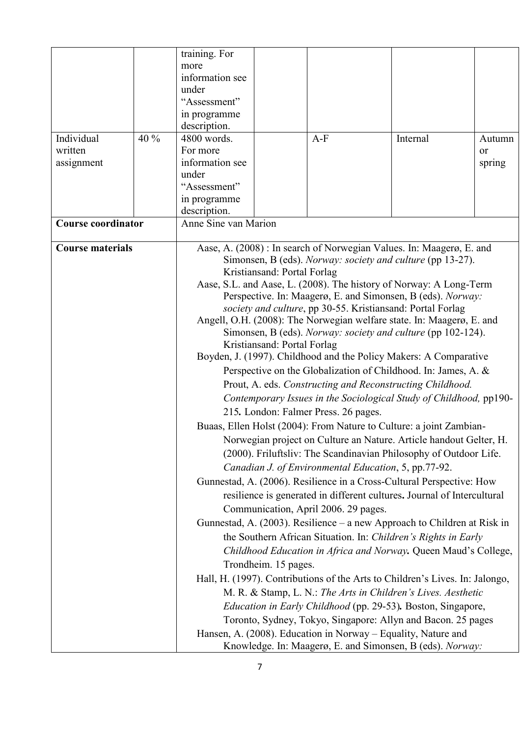| Autumn                                                                                                                                    |  |  |  |  |
|-------------------------------------------------------------------------------------------------------------------------------------------|--|--|--|--|
|                                                                                                                                           |  |  |  |  |
|                                                                                                                                           |  |  |  |  |
|                                                                                                                                           |  |  |  |  |
|                                                                                                                                           |  |  |  |  |
|                                                                                                                                           |  |  |  |  |
|                                                                                                                                           |  |  |  |  |
|                                                                                                                                           |  |  |  |  |
|                                                                                                                                           |  |  |  |  |
|                                                                                                                                           |  |  |  |  |
|                                                                                                                                           |  |  |  |  |
|                                                                                                                                           |  |  |  |  |
|                                                                                                                                           |  |  |  |  |
| Aase, S.L. and Aase, L. (2008). The history of Norway: A Long-Term<br>Perspective. In: Maagerø, E. and Simonsen, B (eds). Norway:         |  |  |  |  |
| society and culture, pp 30-55. Kristiansand: Portal Forlag                                                                                |  |  |  |  |
| Angell, O.H. (2008): The Norwegian welfare state. In: Maagerø, E. and                                                                     |  |  |  |  |
| Simonsen, B (eds). Norway: society and culture (pp 102-124).                                                                              |  |  |  |  |
| Kristiansand: Portal Forlag                                                                                                               |  |  |  |  |
| Boyden, J. (1997). Childhood and the Policy Makers: A Comparative                                                                         |  |  |  |  |
| Perspective on the Globalization of Childhood. In: James, A. &                                                                            |  |  |  |  |
|                                                                                                                                           |  |  |  |  |
| Contemporary Issues in the Sociological Study of Childhood, pp190-                                                                        |  |  |  |  |
|                                                                                                                                           |  |  |  |  |
|                                                                                                                                           |  |  |  |  |
| Buaas, Ellen Holst (2004): From Nature to Culture: a joint Zambian-<br>Norwegian project on Culture an Nature. Article handout Gelter, H. |  |  |  |  |
| (2000). Friluftsliv: The Scandinavian Philosophy of Outdoor Life.                                                                         |  |  |  |  |
| Canadian J. of Environmental Education, 5, pp.77-92.                                                                                      |  |  |  |  |
| Gunnestad, A. (2006). Resilience in a Cross-Cultural Perspective: How                                                                     |  |  |  |  |
|                                                                                                                                           |  |  |  |  |
| resilience is generated in different cultures. Journal of Intercultural                                                                   |  |  |  |  |
| Communication, April 2006. 29 pages.                                                                                                      |  |  |  |  |
| Gunnestad, A. (2003). Resilience – a new Approach to Children at Risk in                                                                  |  |  |  |  |
| the Southern African Situation. In: Children's Rights in Early                                                                            |  |  |  |  |
| Childhood Education in Africa and Norway. Queen Maud's College,                                                                           |  |  |  |  |
| Trondheim. 15 pages.                                                                                                                      |  |  |  |  |
| Hall, H. (1997). Contributions of the Arts to Children's Lives. In: Jalongo,                                                              |  |  |  |  |
|                                                                                                                                           |  |  |  |  |
|                                                                                                                                           |  |  |  |  |
|                                                                                                                                           |  |  |  |  |
|                                                                                                                                           |  |  |  |  |
|                                                                                                                                           |  |  |  |  |
| spring                                                                                                                                    |  |  |  |  |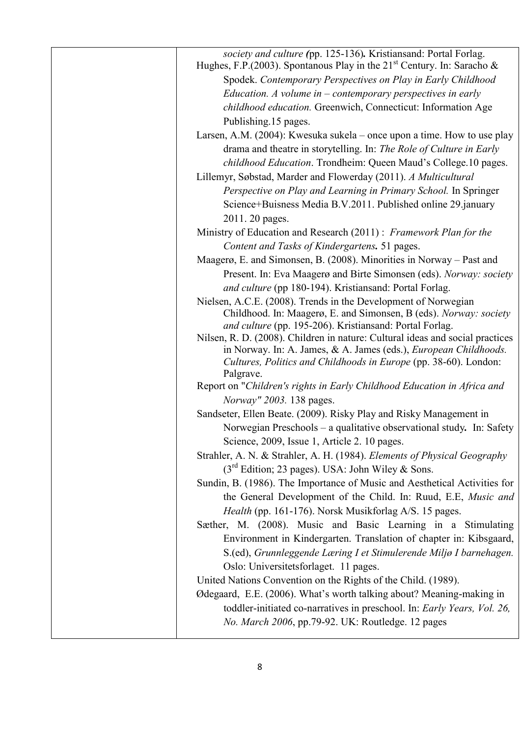| society and culture (pp. 125-136). Kristiansand: Portal Forlag.<br>Hughes, F.P. (2003). Spontanous Play in the $21st$ Century. In: Saracho & |
|----------------------------------------------------------------------------------------------------------------------------------------------|
| Spodek. Contemporary Perspectives on Play in Early Childhood                                                                                 |
| Education. A volume in $-$ contemporary perspectives in early                                                                                |
| childhood education. Greenwich, Connecticut: Information Age                                                                                 |
| Publishing 15 pages.                                                                                                                         |
| Larsen, A.M. (2004): Kwesuka sukela – once upon a time. How to use play                                                                      |
| drama and theatre in storytelling. In: The Role of Culture in Early                                                                          |
| childhood Education. Trondheim: Queen Maud's College.10 pages.                                                                               |
| Lillemyr, Søbstad, Marder and Flowerday (2011). A Multicultural                                                                              |
| Perspective on Play and Learning in Primary School. In Springer                                                                              |
| Science+Buisness Media B.V.2011. Published online 29.january                                                                                 |
| 2011. 20 pages.                                                                                                                              |
| Ministry of Education and Research (2011): Framework Plan for the                                                                            |
| Content and Tasks of Kindergartens. 51 pages.                                                                                                |
| Maagerø, E. and Simonsen, B. (2008). Minorities in Norway – Past and                                                                         |
| Present. In: Eva Maagerø and Birte Simonsen (eds). Norway: society                                                                           |
| and culture (pp 180-194). Kristiansand: Portal Forlag.                                                                                       |
| Nielsen, A.C.E. (2008). Trends in the Development of Norwegian                                                                               |
| Childhood. In: Maagerø, E. and Simonsen, B (eds). Norway: society                                                                            |
| and culture (pp. 195-206). Kristiansand: Portal Forlag.                                                                                      |
| Nilsen, R. D. (2008). Children in nature: Cultural ideas and social practices                                                                |
| in Norway. In: A. James, & A. James (eds.), <i>European Childhoods</i> .<br>Cultures, Politics and Childhoods in Europe (pp. 38-60). London: |
| Palgrave.                                                                                                                                    |
| Report on "Children's rights in Early Childhood Education in Africa and                                                                      |
| Norway" 2003. 138 pages.                                                                                                                     |
| Sandseter, Ellen Beate. (2009). Risky Play and Risky Management in                                                                           |
| Norwegian Preschools - a qualitative observational study. In: Safety                                                                         |
| Science, 2009, Issue 1, Article 2. 10 pages.                                                                                                 |
| Strahler, A. N. & Strahler, A. H. (1984). Elements of Physical Geography                                                                     |
| $(3rd Edition; 23 pages)$ . USA: John Wiley & Sons.                                                                                          |
| Sundin, B. (1986). The Importance of Music and Aesthetical Activities for                                                                    |
| the General Development of the Child. In: Ruud, E.E, Music and                                                                               |
| Health (pp. 161-176). Norsk Musikforlag A/S. 15 pages.                                                                                       |
| Sæther, M. (2008). Music and Basic Learning in a Stimulating                                                                                 |
| Environment in Kindergarten. Translation of chapter in: Kibsgaard,                                                                           |
| S.(ed), Grunnleggende Læring I et Stimulerende Miljø I barnehagen.                                                                           |
| Oslo: Universitetsforlaget. 11 pages.                                                                                                        |
| United Nations Convention on the Rights of the Child. (1989).                                                                                |
| Ødegaard, E.E. (2006). What's worth talking about? Meaning-making in                                                                         |
| toddler-initiated co-narratives in preschool. In: Early Years, Vol. 26,                                                                      |
| No. March 2006, pp.79-92. UK: Routledge. 12 pages                                                                                            |
|                                                                                                                                              |